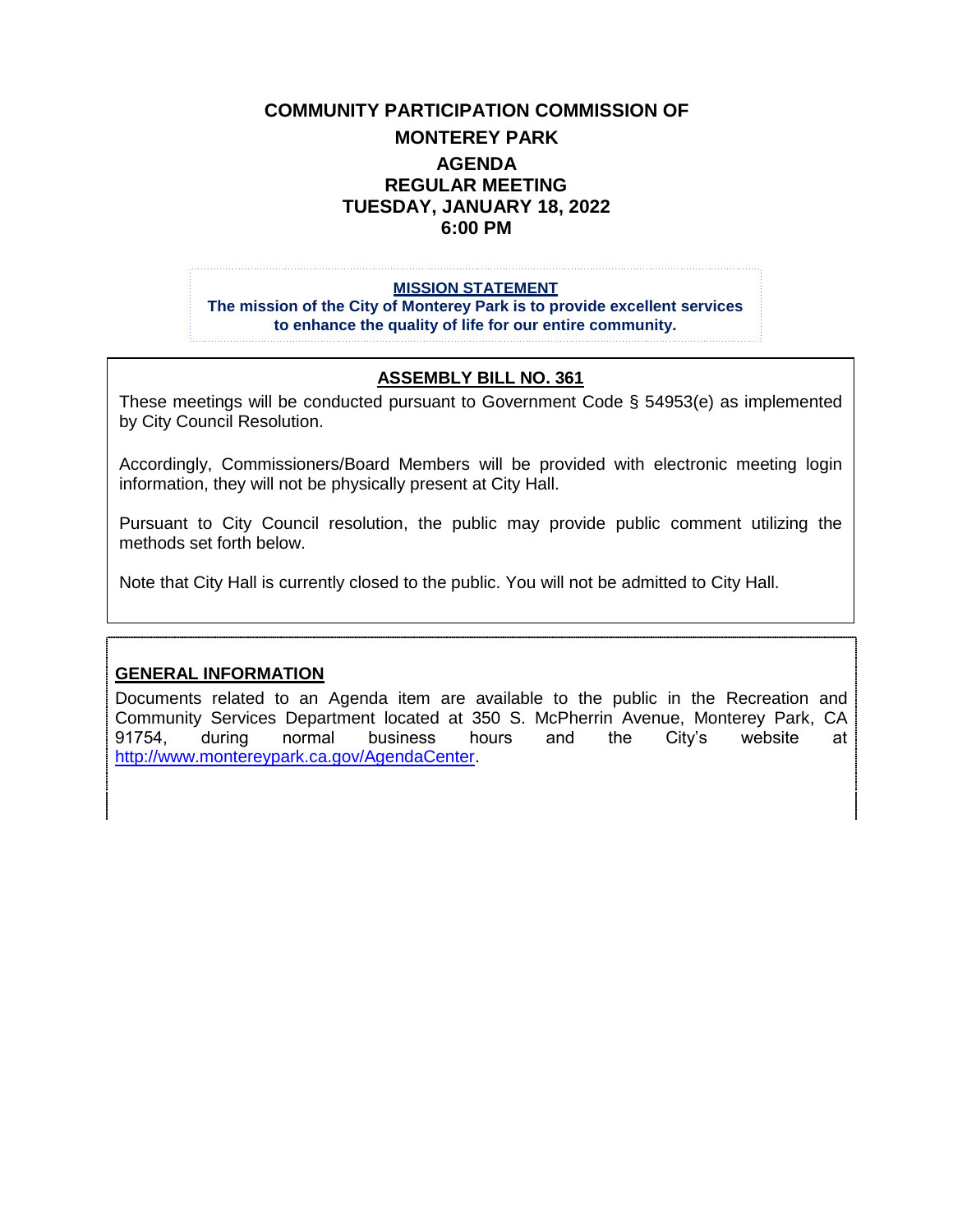# **COMMUNITY PARTICIPATION COMMISSION OF MONTEREY PARK AGENDA REGULAR MEETING TUESDAY, JANUARY 18, 2022 6:00 PM**

#### **MISSION STATEMENT**

**The mission of the City of Monterey Park is to provide excellent services to enhance the quality of life for our entire community.**

#### **ASSEMBLY BILL NO. 361**

These meetings will be conducted pursuant to Government Code § 54953(e) as implemented by City Council Resolution.

Accordingly, Commissioners/Board Members will be provided with electronic meeting login information, they will not be physically present at City Hall.

Pursuant to City Council resolution, the public may provide public comment utilizing the methods set forth below.

Note that City Hall is currently closed to the public. You will not be admitted to City Hall.

#### **GENERAL INFORMATION**

Documents related to an Agenda item are available to the public in the Recreation and Community Services Department located at 350 S. McPherrin Avenue, Monterey Park, CA 91754, during normal business hours and the City's website at [http://www.montereypark.ca.gov/AgendaCenter.](http://www.montereypark.ca.gov/AgendaCenter)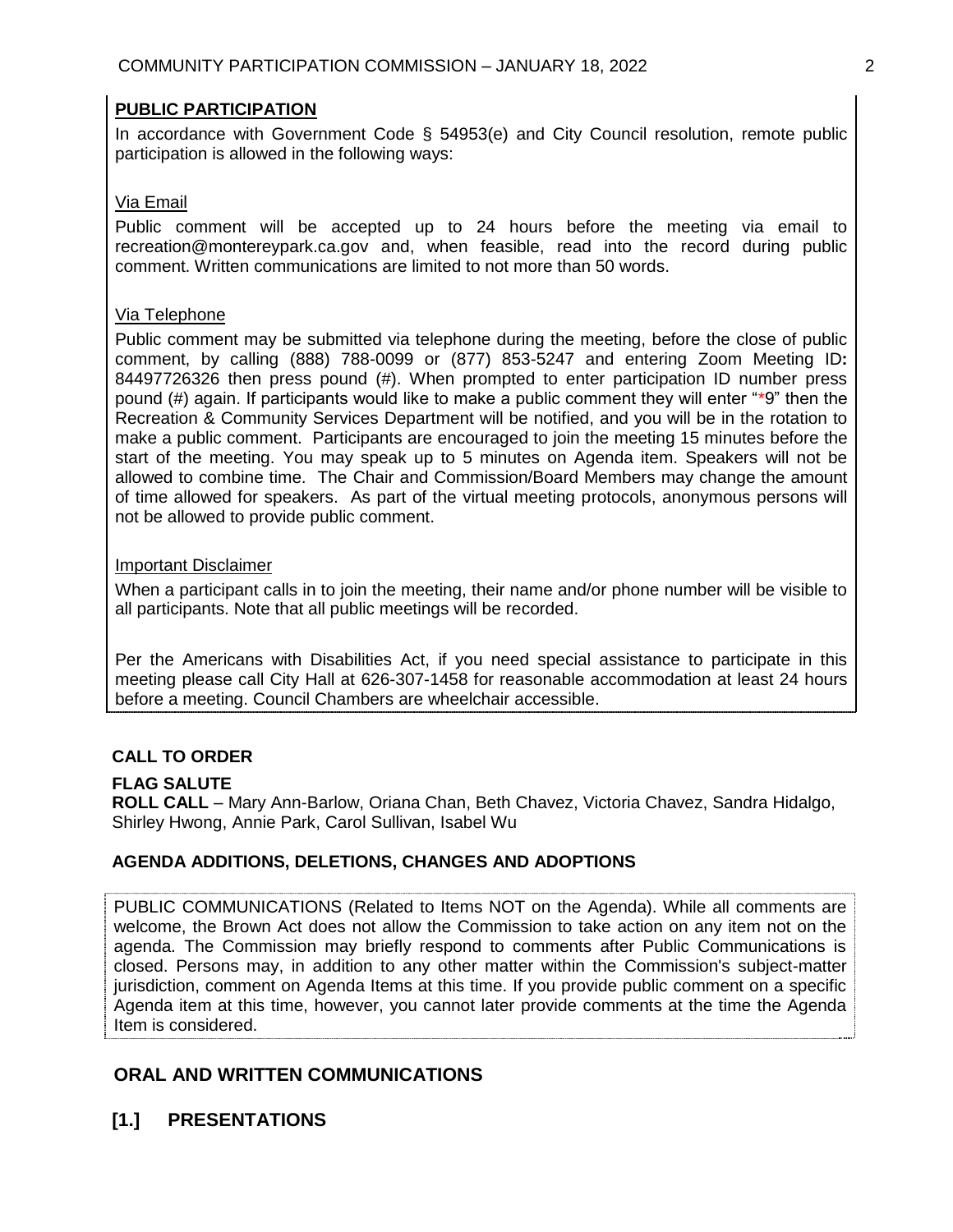## **PUBLIC PARTICIPATION**

In accordance with Government Code § 54953(e) and City Council resolution, remote public participation is allowed in the following ways:

### Via Email

Public comment will be accepted up to 24 hours before the meeting via email to recreation@montereypark.ca.gov and, when feasible, read into the record during public comment. Written communications are limited to not more than 50 words.

### Via Telephone

Public comment may be submitted via telephone during the meeting, before the close of public comment, by calling (888) 788-0099 or (877) 853-5247 and entering Zoom Meeting ID**:**  84497726326 then press pound (#). When prompted to enter participation ID number press pound (#) again. If participants would like to make a public comment they will enter "\*9" then the Recreation & Community Services Department will be notified, and you will be in the rotation to make a public comment. Participants are encouraged to join the meeting 15 minutes before the start of the meeting. You may speak up to 5 minutes on Agenda item. Speakers will not be allowed to combine time. The Chair and Commission/Board Members may change the amount of time allowed for speakers. As part of the virtual meeting protocols, anonymous persons will not be allowed to provide public comment.

#### Important Disclaimer

When a participant calls in to join the meeting, their name and/or phone number will be visible to all participants. Note that all public meetings will be recorded.

Per the Americans with Disabilities Act, if you need special assistance to participate in this meeting please call City Hall at 626-307-1458 for reasonable accommodation at least 24 hours before a meeting. Council Chambers are wheelchair accessible.

## **CALL TO ORDER**

## **FLAG SALUTE**

**ROLL CALL** – Mary Ann-Barlow, Oriana Chan, Beth Chavez, Victoria Chavez, Sandra Hidalgo, Shirley Hwong, Annie Park, Carol Sullivan, Isabel Wu

## **AGENDA ADDITIONS, DELETIONS, CHANGES AND ADOPTIONS**

PUBLIC COMMUNICATIONS (Related to Items NOT on the Agenda). While all comments are welcome, the Brown Act does not allow the Commission to take action on any item not on the agenda. The Commission may briefly respond to comments after Public Communications is closed. Persons may, in addition to any other matter within the Commission's subject-matter jurisdiction, comment on Agenda Items at this time. If you provide public comment on a specific Agenda item at this time, however, you cannot later provide comments at the time the Agenda Item is considered.

# **ORAL AND WRITTEN COMMUNICATIONS**

# **[1.] PRESENTATIONS**